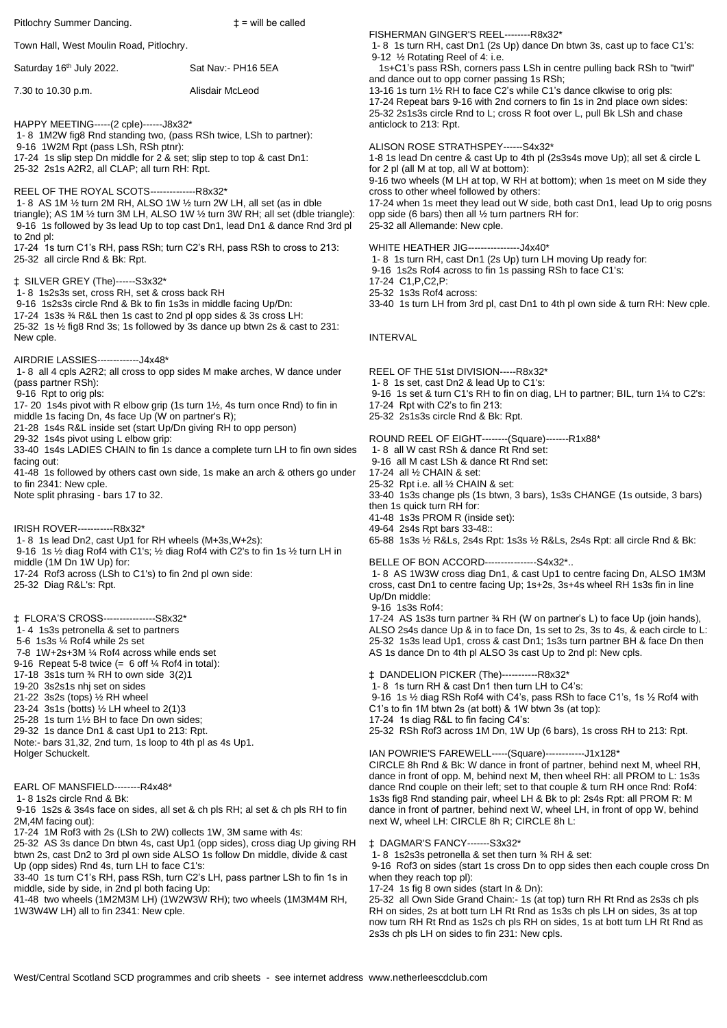| Pitlochry Summer Dancing.                                                                                                                                                               | $\ddagger$ = will be called |                                                                                                                                                                                                    |
|-----------------------------------------------------------------------------------------------------------------------------------------------------------------------------------------|-----------------------------|----------------------------------------------------------------------------------------------------------------------------------------------------------------------------------------------------|
| Town Hall, West Moulin Road, Pitlochry.                                                                                                                                                 |                             | FISHERMAN GINGER'S REEL--------R8x32*<br>1-8 1s turn RH, cast Dn1 (2s Up) dance Dn btwn 3s, cast up to face C1's:                                                                                  |
| Saturday 16 <sup>th</sup> July 2022.                                                                                                                                                    | Sat Nav:- PH16 5EA          | 9-12 1/2 Rotating Reel of 4: i.e.<br>1s+C1's pass RSh, corners pass LSh in centre pulling back RSh to "twirl"                                                                                      |
| 7.30 to 10.30 p.m.                                                                                                                                                                      | Alisdair McLeod             | and dance out to opp corner passing 1s RSh;<br>13-16 1s turn 1½ RH to face C2's while C1's dance clkwise to orig pls:<br>17-24 Repeat bars 9-16 with 2nd corners to fin 1s in 2nd place own sides: |
|                                                                                                                                                                                         |                             | 25-32 2s1s3s circle Rnd to L; cross R foot over L, pull Bk LSh and chase                                                                                                                           |
| HAPPY MEETING----- (2 cple)------J8x32*<br>1-8 1M2W fig8 Rnd standing two, (pass RSh twice, LSh to partner):                                                                            |                             | anticlock to 213: Rpt.                                                                                                                                                                             |
| 9-16 1W2M Rpt (pass LSh, RSh ptnr):<br>17-24 1s slip step Dn middle for 2 & set; slip step to top & cast Dn1:<br>25-32 2s1s A2R2, all CLAP; all turn RH: Rpt.                           |                             | ALISON ROSE STRATHSPEY------S4x32*<br>1-8 1s lead Dn centre & cast Up to 4th pl (2s3s4s move Up); all set & circle L                                                                               |
|                                                                                                                                                                                         |                             | for 2 pl (all M at top, all W at bottom):<br>9-16 two wheels (M LH at top, W RH at bottom); when 1s meet on M side they                                                                            |
| REEL OF THE ROYAL SCOTS--------------R8x32*                                                                                                                                             |                             | cross to other wheel followed by others:                                                                                                                                                           |
| 1-8 AS 1M 1/2 turn 2M RH, ALSO 1W 1/2 turn 2W LH, all set (as in dble<br>triangle); AS 1M 1/2 turn 3M LH, ALSO 1W 1/2 turn 3W RH; all set (dble triangle):                              |                             | 17-24 when 1s meet they lead out W side, both cast Dn1, lead Up to orig posns<br>opp side (6 bars) then all 1/2 turn partners RH for:                                                              |
| 9-16 1s followed by 3s lead Up to top cast Dn1, lead Dn1 & dance Rnd 3rd pl<br>to 2nd pl:                                                                                               |                             | 25-32 all Allemande: New cple.                                                                                                                                                                     |
| 17-24 1s turn C1's RH, pass RSh; turn C2's RH, pass RSh to cross to 213:<br>25-32 all circle Rnd & Bk: Rpt.                                                                             |                             | WHITE HEATHER JIG----------------J4x40*<br>1-8 1s turn RH, cast Dn1 (2s Up) turn LH moving Up ready for:                                                                                           |
| # SILVER GREY (The)------S3x32*                                                                                                                                                         |                             | 9-16 1s2s Rof4 across to fin 1s passing RSh to face C1's:                                                                                                                                          |
| 1-8 1 s2s3s set, cross RH, set & cross back RH<br>9-16 1s2s3s circle Rnd & Bk to fin 1s3s in middle facing Up/Dn:<br>17-24 1s3s 3⁄4 R&L then 1s cast to 2nd pl opp sides & 3s cross LH: |                             | 17-24 C1, P, C2, P:<br>25-32 1s3s Rof4 across:                                                                                                                                                     |
|                                                                                                                                                                                         |                             | 33-40 1s turn LH from 3rd pl, cast Dn1 to 4th pl own side & turn RH: New cple.                                                                                                                     |
| 25-32 1s 1/2 fig8 Rnd 3s; 1s followed by 3s dance up btwn 2s & cast to 231:<br>New cple.                                                                                                |                             | <b>INTERVAL</b>                                                                                                                                                                                    |
| AIRDRIE LASSIES-------------J4x48*                                                                                                                                                      |                             |                                                                                                                                                                                                    |
| 1-8 all 4 cpls A2R2; all cross to opp sides M make arches, W dance under                                                                                                                |                             | REEL OF THE 51st DIVISION-----R8x32*                                                                                                                                                               |
| (pass partner RSh):<br>9-16 Rpt to orig pls:                                                                                                                                            |                             | 1-8 1s set, cast Dn2 & lead Up to C1's:<br>9-16 1s set & turn C1's RH to fin on diag, LH to partner; BIL, turn 11/4 to C2's:                                                                       |
| 17-20 1s4s pivot with R elbow grip (1s turn 1½, 4s turn once Rnd) to fin in<br>middle 1s facing Dn, 4s face Up (W on partner's R);                                                      |                             | 17-24 Rpt with C2's to fin 213:<br>25-32 2s1s3s circle Rnd & Bk: Rpt.                                                                                                                              |
| 21-28 1s4s R&L inside set (start Up/Dn giving RH to opp person)<br>29-32 1s4s pivot using L elbow grip:                                                                                 |                             | ROUND REEL OF EIGHT-------- (Square)------- R1x88*                                                                                                                                                 |
| 33-40 1s4s LADIES CHAIN to fin 1s dance a complete turn LH to fin own sides<br>facing out:                                                                                              |                             | 1-8 all W cast RSh & dance Rt Rnd set:<br>9-16 all M cast LSh & dance Rt Rnd set:                                                                                                                  |
| 41-48 1s followed by others cast own side, 1s make an arch & others go under                                                                                                            |                             | 17-24 all 1/2 CHAIN & set:                                                                                                                                                                         |
| to fin 2341: New cple.<br>Note split phrasing - bars 17 to 32.                                                                                                                          |                             | 25-32 Rpt i.e. all 1/2 CHAIN & set:<br>33-40 1s3s change pls (1s btwn, 3 bars), 1s3s CHANGE (1s outside, 3 bars)                                                                                   |
|                                                                                                                                                                                         |                             | then 1s quick turn RH for:<br>41-48 1s3s PROM R (inside set):                                                                                                                                      |
| IRISH ROVER------------R8x32*<br>1-8 1s lead Dn2, cast Up1 for RH wheels (M+3s, W+2s):                                                                                                  |                             | 49-64 2s4s Rpt bars 33-48::<br>65-88 1s3s 1/2 R&Ls, 2s4s Rpt: 1s3s 1/2 R&Ls, 2s4s Rpt: all circle Rnd & Bk:                                                                                        |
| 9-16 1s 1/2 diag Rof4 with C1's; 1/2 diag Rof4 with C2's to fin 1s 1/2 turn LH in                                                                                                       |                             |                                                                                                                                                                                                    |
| middle (1M Dn 1W Up) for:<br>17-24 Rof3 across (LSh to C1's) to fin 2nd pl own side:                                                                                                    |                             | BELLE OF BON ACCORD----------------S4x32*<br>1-8 AS 1W3W cross diag Dn1, & cast Up1 to centre facing Dn, ALSO 1M3M                                                                                 |
| 25-32 Diag R&L's: Rpt.<br>1 FLORA'S CROSS----------------S8x32*                                                                                                                         |                             | cross, cast Dn1 to centre facing Up; 1s+2s, 3s+4s wheel RH 1s3s fin in line<br>Up/Dn middle:                                                                                                       |
|                                                                                                                                                                                         |                             | 9-16 1s3s Rof4:<br>17-24 AS 1s3s turn partner 3/4 RH (W on partner's L) to face Up (join hands).                                                                                                   |
| 1-4 1s3s petronella & set to partners<br>5-6 1s3s 1/4 Rof4 while 2s set                                                                                                                 |                             | ALSO 2s4s dance Up & in to face Dn, 1s set to 2s, 3s to 4s, & each circle to L:<br>25-32 1s3s lead Up1, cross & cast Dn1; 1s3s turn partner BH & face Dn then                                      |
| 7-8 1W+2s+3M ¼ Rof4 across while ends set                                                                                                                                               |                             | AS 1s dance Dn to 4th pl ALSO 3s cast Up to 2nd pl: New cpls.                                                                                                                                      |
| 9-16 Repeat 5-8 twice $(= 6 \text{ off } \frac{1}{4} \text{ Rof 4 in total})$ :<br>17-18 3s1s turn 3/4 RH to own side 3(2)1                                                             |                             | <b>‡ DANDELION PICKER (The)-----------R8x32*</b>                                                                                                                                                   |
| 19-20 3s2s1s nhj set on sides<br>21-22 3s2s (tops) 1/2 RH wheel                                                                                                                         |                             | 1-8 1s turn RH & cast Dn1 then turn LH to C4's:<br>9-16 1s $\frac{1}{2}$ diag RSh Rof4 with C4's, pass RSh to face C1's, 1s $\frac{1}{2}$ Rof4 with                                                |
| 23-24 3s1s (botts) 1/2 LH wheel to 2(1)3<br>25-28 1s turn 1½ BH to face Dn own sides;                                                                                                   |                             | C1's to fin 1M btwn 2s (at bott) & 1W btwn 3s (at top):<br>17-24 1s diag R&L to fin facing C4's:                                                                                                   |
| 29-32 1s dance Dn1 & cast Up1 to 213: Rpt.                                                                                                                                              |                             | 25-32 RSh Rof3 across 1M Dn, 1W Up (6 bars), 1s cross RH to 213: Rpt.                                                                                                                              |
| Note:- bars 31,32, 2nd turn, 1s loop to 4th pl as 4s Up1.<br>Holger Schuckelt.                                                                                                          |                             | IAN POWRIE'S FAREWELL----- (Square)-------------J1x128*                                                                                                                                            |
|                                                                                                                                                                                         |                             | CIRCLE 8h Rnd & Bk: W dance in front of partner, behind next M, wheel RH,<br>dance in front of opp. M, behind next M, then wheel RH: all PROM to L: 1s3s                                           |
| EARL OF MANSFIELD--------R4x48*<br>1-8 1s2s circle Rnd & Bk:                                                                                                                            |                             | dance Rnd couple on their left; set to that couple & turn RH once Rnd: Rof4:<br>1s3s fig8 Rnd standing pair, wheel LH & Bk to pl: 2s4s Rpt: all PROM R: M                                          |
| 9-16 1s2s & 3s4s face on sides, all set & ch pls RH; al set & ch pls RH to fin<br>2M, 4M facing out):                                                                                   |                             | dance in front of partner, behind next W, wheel LH, in front of opp W, behind<br>next W, wheel LH: CIRCLE 8h R; CIRCLE 8h L:                                                                       |
| 17-24 1M Rof3 with 2s (LSh to 2W) collects 1W, 3M same with 4s:                                                                                                                         |                             |                                                                                                                                                                                                    |
| 25-32 AS 3s dance Dn btwn 4s, cast Up1 (opp sides), cross diag Up giving RH<br>btwn 2s, cast Dn2 to 3rd pl own side ALSO 1s follow Dn middle, divide & cast                             |                             | # DAGMAR'S FANCY-------S3x32*<br>1-8 1s2s3s petronella & set then turn 3/4 RH & set:                                                                                                               |
| Up (opp sides) Rnd 4s, turn LH to face C1's:<br>33-40 1s turn C1's RH, pass RSh, turn C2's LH, pass partner LSh to fin 1s in                                                            |                             | 9-16 Rof3 on sides (start 1s cross Dn to opp sides then each couple cross Dn<br>when they reach top pl):                                                                                           |
| middle, side by side, in 2nd pl both facing Up:<br>41-48 two wheels (1M2M3M LH) (1W2W3W RH); two wheels (1M3M4M RH,                                                                     |                             | 17-24 1s fig 8 own sides (start In & Dn):<br>25-32 all Own Side Grand Chain:- 1s (at top) turn RH Rt Rnd as 2s3s ch pls                                                                            |
| 1W3W4W LH) all to fin 2341: New cple.                                                                                                                                                   |                             | RH on sides, 2s at bott turn LH Rt Rnd as 1s3s ch pls LH on sides, 3s at top                                                                                                                       |
|                                                                                                                                                                                         |                             | now turn RH Rt Rnd as 1s2s ch pls RH on sides, 1s at bott turn LH Rt Rnd as<br>2s3s ch pls LH on sides to fin 231: New cpls.                                                                       |